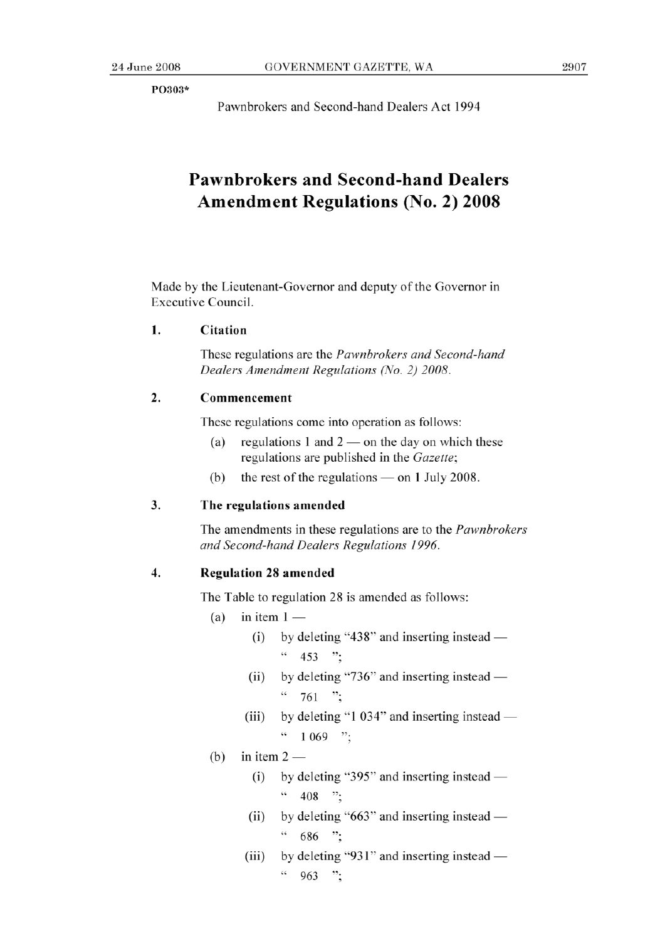P0303\*

Pawnbrokers and Second-hand Dealers Act 1994

# **Pawnbrokers and Second-hand Dealers Amendment Regulations (No. 2) 2008**

Made by the Lieutenant-Governor and deputy of the Governor in Executive Council.

### **1. Citation**

These regulations are the *Pawnbrokers and Second-hand Dealers Amendment Regulations (No. 2) 2008.* 

# 2. **Commencement**

These regulations come into operation as follows:

- (a) regulations 1 and  $2$  on the day on which these regulations are published in the *Gazette;*
- (b) the rest of the regulations  $-$  on 1 July 2008.

#### **3. The regulations amended**

The amendments in these regulations are to the *Pawnbrokers and Second-hand Dealers Regulations 1996.* 

# **4. Regulation** 28 amended

The Table to regulation 28 is amended as follows:

- (a) in item  $1 -$ 
	- (i) by deleting "438" and inserting instead  $-$ " *453* ";
	- (ii) by deleting "736" and inserting instead  $761$  ";
	- (iii) by deleting "1 034" and inserting instead  $\cdot \cdot \cdot$  1 069 ";
- (b) in item  $2-$ 
	- $(i)$  by deleting "395" and inserting instead  $\frac{108}{108}$  ";
	- (ii) by deleting " $663$ " and inserting instead  $\frac{1}{686}$  ";
	- (iii) by deleting "931" and inserting instead  $^{46}$  963 ";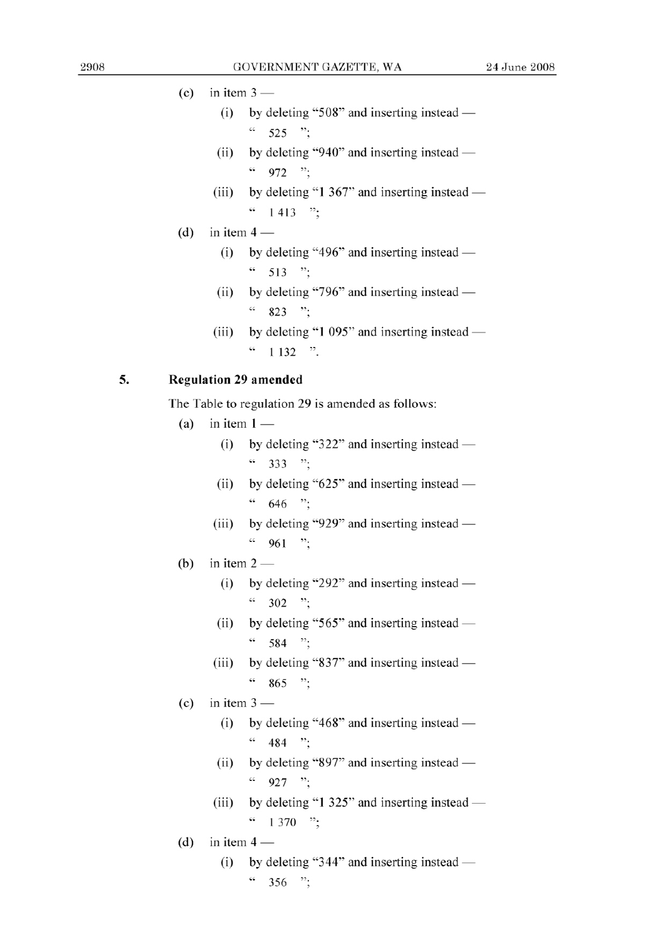## (c) in item  $3 -$

- $(i)$  by deleting "508" and inserting instead  $-$ " *525* ";
- (ii) by deleting "940" and inserting instead  $46$  972 ";
- (iii) by deleting "1 367" and inserting instead  $\frac{4}{1413}$  ";
- (d) in item  $4 -$ 
	- (i) by deleting "496" and inserting instead  $\frac{1}{2}$  513  $\frac{1}{2}$
	- (ii) by deleting "796" and inserting instead  $\frac{46}{823}$  ";
	- (iii) by deleting "1  $095$ " and inserting instead  $\frac{1132}$  ".

## **5. Regulation** 29 **amended**

The Table to regulation 29 is amended as follows:  $\frac{1}{2}$  and  $\frac{1}{2}$  in item 1 -

- - (i) by deleting "322" and inserting instead  $\frac{1}{2}$  333 ";
	- $(ii)$  by deleting "625" and inserting instead  $\frac{1}{646}$  ";
	- (iii) by deleting "929" and inserting instead  $\frac{1}{10}$  961 ":
- (b) in item  $2 -$ <br>(i) by de
	- by deleting "292" and inserting instead  $\frac{1}{2}$  302 ";
	- (ii) by deleting  $"565"$  and inserting instead  $\frac{1}{10}$  584 ";
	- (iii) by deleting "837" and inserting instead  $-$ " *<sup>865</sup>*
- (c) in item  $3$  —<br>(i) by d
	- by deleting "468" and inserting instead  $\frac{1}{484}$  ":
	- (ii) by deleting "897" and inserting instead  $\frac{1}{2}$  927 ";
	- (iii) by deleting "1  $325$ " and inserting instead  $\cdot\cdot\cdot$  1 370  $\cdot\cdot\cdot$
- (d) in item  $4 -$ <br>(i) by d
	- by deleting "344" and inserting instead  $\frac{4}{356}$  ";